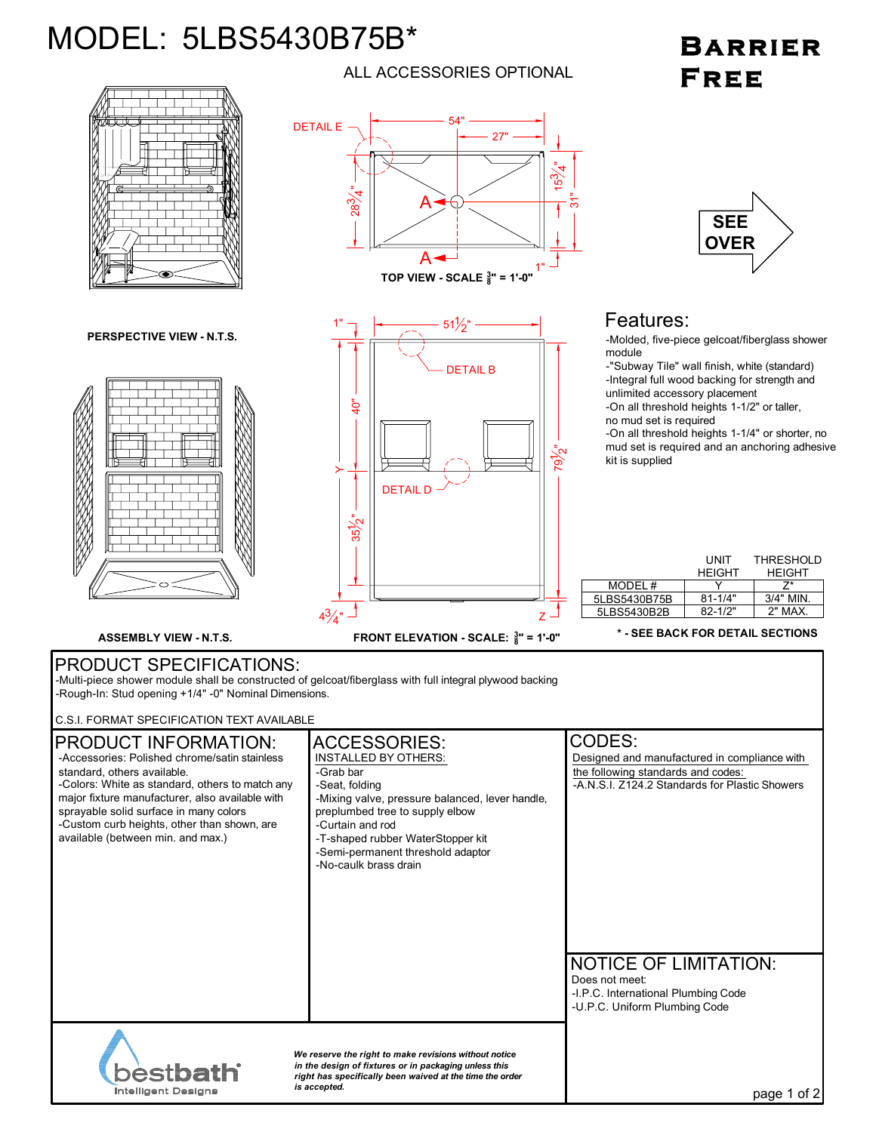## MODEL: 5LBS5430B75B\*

Intelligent Designs

## BARRIER FREE



*is accepted.* page 1 of 2